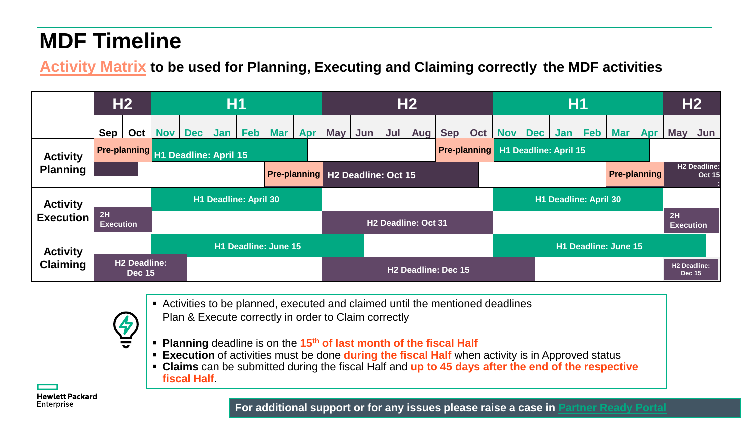## **MDF Timeline**

**Activity Matrix to be used for Planning, Executing and Claiming correctly the MDF activities**

|                                    |                        | H2                                   | <b>H1</b>  |            |                                    |     |            |     |            |                                         |                                 | H2  |             |     | H1                   |                                           |                     |             |            |            |                                      | <b>H2</b>                            |  |
|------------------------------------|------------------------|--------------------------------------|------------|------------|------------------------------------|-----|------------|-----|------------|-----------------------------------------|---------------------------------|-----|-------------|-----|----------------------|-------------------------------------------|---------------------|-------------|------------|------------|--------------------------------------|--------------------------------------|--|
|                                    | Sep                    | Oct                                  | <b>Nov</b> | <b>Dec</b> | Jan                                | Feb | <b>Mar</b> | Apr | <b>May</b> | Jun                                     | Jul                             | Aug | $Sep \vert$ | Oct |                      | Nov Dec                                   |                     | Jan   $Feb$ | <b>Mar</b> | <b>Apr</b> | <b>May</b>                           | Jun                                  |  |
| <b>Activity</b><br><b>Planning</b> |                        |                                      |            |            | Pre-planning H1 Deadline: April 15 |     |            |     |            |                                         |                                 |     |             |     |                      | <b>Pre-planning H1 Deadline: April 15</b> |                     |             |            |            |                                      |                                      |  |
|                                    |                        |                                      |            |            |                                    |     |            |     |            | <b>Pre-planning H2 Deadline: Oct 15</b> |                                 |     |             |     |                      |                                           | <b>Pre-planning</b> |             |            |            |                                      | <b>H2 Deadline:</b><br><b>Oct 15</b> |  |
| <b>Activity</b>                    |                        |                                      |            |            | <b>H1 Deadline: April 30</b>       |     |            |     |            |                                         |                                 |     |             |     |                      | H1 Deadline: April 30                     |                     |             |            |            |                                      |                                      |  |
| <b>Execution</b>                   | 2H<br><b>Execution</b> |                                      |            |            |                                    |     |            |     |            | H <sub>2</sub> Deadline: Oct 31         |                                 |     |             |     |                      |                                           |                     |             |            |            |                                      |                                      |  |
| <b>Activity</b><br><b>Claiming</b> | H1 Deadline: June 15   |                                      |            |            |                                    |     |            |     |            |                                         |                                 |     |             |     | H1 Deadline: June 15 |                                           |                     |             |            |            |                                      |                                      |  |
|                                    |                        | <b>H2 Deadline:</b><br><b>Dec 15</b> |            |            |                                    |     |            |     |            |                                         | H <sub>2</sub> Deadline: Dec 15 |     |             |     |                      |                                           |                     |             |            |            | <b>H2 Deadline:</b><br><b>Dec 15</b> |                                      |  |

- Activities to be planned, executed and claimed until the mentioned deadlines
	- Plan & Execute correctly in order to Claim correctly
- **Planning** deadline is on the **15th of last month of the fiscal Half**
- **Execution** of activities must be done **during the fiscal Half** when activity is in Approved status
- **Claims** can be submitted during the fiscal Half and **up to 45 days after the end of the respective fiscal Half**.

**Hewlett Packard** Enterprise

**For additional support or for any issues please raise a case in [Partner Ready Portal](https://partner.hpe.com/)**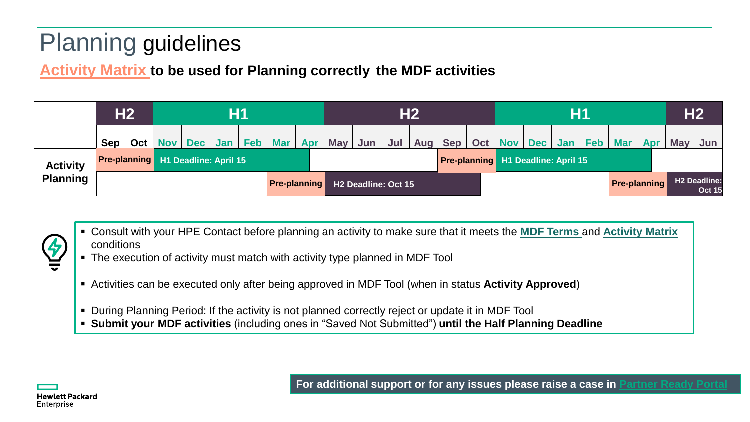## Planning guidelines

**Activity Matrix to be used for Planning correctly the MDF activities**

|                 |                                                                                                         | H2                                                                                                                                   | H1 |  |  |  |                 |                                                        |  |                 |     | H <sub>2</sub> |  |                       | <b>H1</b> |  |                                           |  |                           |                                      |            | H <sub>2</sub> |  |  |
|-----------------|---------------------------------------------------------------------------------------------------------|--------------------------------------------------------------------------------------------------------------------------------------|----|--|--|--|-----------------|--------------------------------------------------------|--|-----------------|-----|----------------|--|-----------------------|-----------|--|-------------------------------------------|--|---------------------------|--------------------------------------|------------|----------------|--|--|
|                 |                                                                                                         | Sep   Oct   Nov   Dec   Jan                                                                                                          |    |  |  |  | Feb   Mar   Apr |                                                        |  | May $ $ Jun $ $ | Jul |                |  | Aug   Sep   Oct   Nov |           |  |                                           |  | Dec Jan   Feb   Mar   Apr |                                      | <b>May</b> | Jun            |  |  |
| <b>Activity</b> |                                                                                                         | Pre-planning H1 Deadline: April 15                                                                                                   |    |  |  |  |                 |                                                        |  |                 |     |                |  |                       |           |  | <b>Pre-planning H1 Deadline: April 15</b> |  |                           |                                      |            |                |  |  |
| <b>Planning</b> |                                                                                                         |                                                                                                                                      |    |  |  |  |                 | <b>Pre-planning</b><br>H <sub>2</sub> Deadline: Oct 15 |  |                 |     |                |  |                       |           |  |                                           |  | <b>Pre-planning</b>       | <b>H2 Deadline:</b><br><b>Oct 15</b> |            |                |  |  |
|                 |                                                                                                         |                                                                                                                                      |    |  |  |  |                 |                                                        |  |                 |     |                |  |                       |           |  |                                           |  |                           |                                      |            |                |  |  |
|                 | conditions                                                                                              | Consult with your HPE Contact before planning an activity to make sure that it meets the <b>MDF Terms</b> and <b>Activity Matrix</b> |    |  |  |  |                 |                                                        |  |                 |     |                |  |                       |           |  |                                           |  |                           |                                      |            |                |  |  |
|                 | • The execution of activity must match with activity type planned in MDF Tool                           |                                                                                                                                      |    |  |  |  |                 |                                                        |  |                 |     |                |  |                       |           |  |                                           |  |                           |                                      |            |                |  |  |
|                 | Activities can be executed only after being approved in MDF Tool (when in status Activity Approved)     |                                                                                                                                      |    |  |  |  |                 |                                                        |  |                 |     |                |  |                       |           |  |                                           |  |                           |                                      |            |                |  |  |
|                 | • Submit your MDF activities (including ones in "Saved Not Submitted") until the Half Planning Deadline | During Planning Period: If the activity is not planned correctly reject or update it in MDF Tool                                     |    |  |  |  |                 |                                                        |  |                 |     |                |  |                       |           |  |                                           |  |                           |                                      |            |                |  |  |

- Consult with your HPE Contact before planning an activity to make sure that it meets the **MDF Terms** and **Activity Matrix** conditions
- The execution of activity must match with activity type planned in MDF Tool
- Activities can be executed only after being approved in MDF Tool (when in status **Activity Approved**)
- During Planning Period: If the activity is not planned correctly reject or update it in MDF Tool
- 



**For additional support or for any issues please raise a case in [Partner Ready Portal](https://partner.hpe.com/)**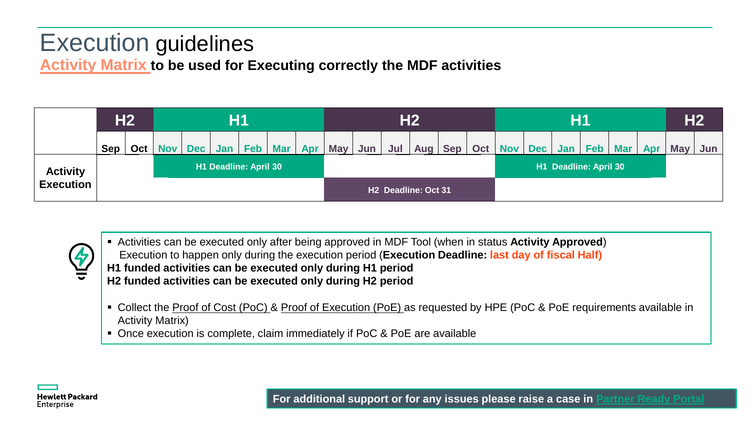## Execution guidelines **Activity Matrix to be used for Executing correctly the MDF activities**

|                                     |     | <b>H2</b><br>Η1       |            |            |     |     |            |     |            | <b>H2</b>           | <b>H1</b> |  |                   |     |     |     |                       | H <sub>2</sub> |            |     |            |                  |
|-------------------------------------|-----|-----------------------|------------|------------|-----|-----|------------|-----|------------|---------------------|-----------|--|-------------------|-----|-----|-----|-----------------------|----------------|------------|-----|------------|------------------|
|                                     | Sep | Oct <sub>1</sub>      | <b>Nov</b> | <b>Dec</b> | Jan | Feb | <b>Mar</b> | Apr | <b>May</b> | Jun                 | Jul       |  | Aug   Sep $\vert$ | Oct | Nov | Dec | Jan                   | <b>Feb</b>     | <b>Mar</b> | Apr | <b>May</b> | Jun <sub>1</sub> |
| <b>Activity</b><br><b>Execution</b> |     | H1 Deadline: April 30 |            |            |     |     |            |     |            |                     |           |  |                   |     |     |     | H1 Deadline: April 30 |                |            |     |            |                  |
|                                     |     |                       |            |            |     |     |            |     |            | H2 Deadline: Oct 31 |           |  |                   |     |     |     |                       |                |            |     |            |                  |



 Activities can be executed only after being approved in MDF Tool (when in status **Activity Approved**) Execution to happen only during the execution period (**Execution Deadline: last day of fiscal Half) H1 funded activities can be executed only during H1 period H2 funded activities can be executed only during H2 period**

- Collect the Proof of Cost (PoC) & Proof of Execution (PoE) as requested by HPE (PoC & PoE requirements available in Activity Matrix)
- Once execution is complete, claim immediately if PoC & PoE are available



**For additional support or for any issues please raise a case in [Partner Ready Portal](https://partner.hpe.com/)**